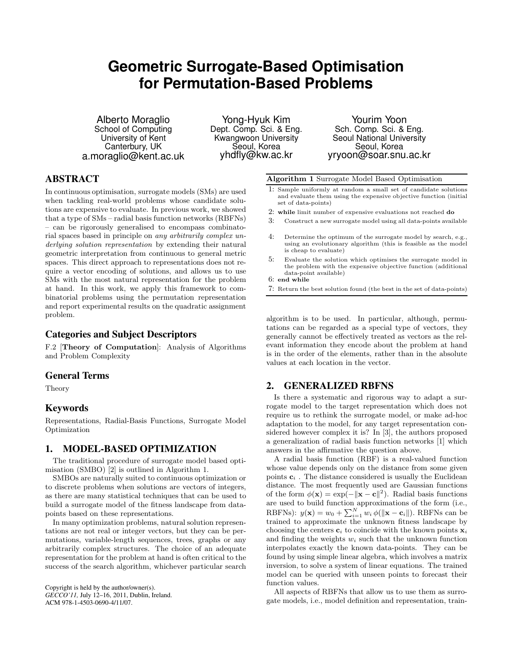# **Geometric Surrogate-Based Optimisation for Permutation-Based Problems**

Alberto Moraglio School of Computing University of Kent Canterbury, UK a.moraglio@kent.ac.uk

Yong-Hyuk Kim Dept. Comp. Sci. & Eng. Kwangwoon University Seoul, Korea yhdfly@kw.ac.kr

Yourim Yoon Sch. Comp. Sci. & Eng. Seoul National University Seoul, Korea yryoon@soar.snu.ac.kr

# **ABSTRACT**

In continuous optimisation, surrogate models (SMs) are used when tackling real-world problems whose candidate solutions are expensive to evaluate. In previous work, we showed that a type of SMs – radial basis function networks (RBFNs) – can be rigorously generalised to encompass combinatorial spaces based in principle on any arbitrarily complex underlying solution representation by extending their natural geometric interpretation from continuous to general metric spaces. This direct approach to representations does not require a vector encoding of solutions, and allows us to use SMs with the most natural representation for the problem at hand. In this work, we apply this framework to combinatorial problems using the permutation representation and report experimental results on the quadratic assignment problem.

## **Categories and Subject Descriptors**

F.2 [Theory of Computation]: Analysis of Algorithms and Problem Complexity

#### **General Terms**

Theory

## **Keywords**

Representations, Radial-Basis Functions, Surrogate Model Optimization

## **1. MODEL-BASED OPTIMIZATION**

The traditional procedure of surrogate model based optimisation (SMBO) [2] is outlined in Algorithm 1.

SMBOs are naturally suited to continuous optimization or to discrete problems when solutions are vectors of integers, as there are many statistical techniques that can be used to build a surrogate model of the fitness landscape from datapoints based on these representations.

In many optimization problems, natural solution representations are not real or integer vectors, but they can be permutations, variable-length sequences, trees, graphs or any arbitrarily complex structures. The choice of an adequate representation for the problem at hand is often critical to the success of the search algorithm, whichever particular search

Copyright is held by the author/owner(s). *GECCO'11,* July 12–16, 2011, Dublin, Ireland. ACM 978-1-4503-0690-4/11/07.

Algorithm 1 Surrogate Model Based Optimisation

- 1: Sample uniformly at random a small set of candidate solutions and evaluate them using the expensive objective function (initial set of data-points)
- 2: while limit number of expensive evaluations not reached do
- 3: Construct a new surrogate model using all data-points available
- 4: Determine the optimum of the surrogate model by search, e.g., using an evolutionary algorithm (this is feasible as the model is cheap to evaluate)
- 5: Evaluate the solution which optimises the surrogate model in the problem with the expensive objective function (additional data-point available)
- 6: end while
- 7: Return the best solution found (the best in the set of data-points)

algorithm is to be used. In particular, although, permutations can be regarded as a special type of vectors, they generally cannot be effectively treated as vectors as the relevant information they encode about the problem at hand is in the order of the elements, rather than in the absolute values at each location in the vector.

#### **2. GENERALIZED RBFNS**

Is there a systematic and rigorous way to adapt a surrogate model to the target representation which does not require us to rethink the surrogate model, or make ad-hoc adaptation to the model, for any target representation considered however complex it is? In [3], the authors proposed a generalization of radial basis function networks [1] which answers in the affirmative the question above.

A radial basis function (RBF) is a real-valued function whose value depends only on the distance from some given points  $c_i$ . The distance considered is usually the Euclidean distance. The most frequently used are Gaussian functions of the form  $\phi(\mathbf{x}) = \exp(-\|\mathbf{x} - \mathbf{c}\|^2)$ . Radial basis functions are used to build function approximations of the form (i.e., RBFNs):  $y(\mathbf{x}) = w_0 + \sum_{i=1}^{N} w_i \phi(||\mathbf{x} - \mathbf{c}_i||)$ . RBFNs can be trained to approximate the unknown fitness landscape by choosing the centers  $c_i$  to coincide with the known points  $x_i$ and finding the weights  $w_i$  such that the unknown function interpolates exactly the known data-points. They can be found by using simple linear algebra, which involves a matrix inversion, to solve a system of linear equations. The trained model can be queried with unseen points to forecast their function values.

All aspects of RBFNs that allow us to use them as surrogate models, i.e., model definition and representation, train